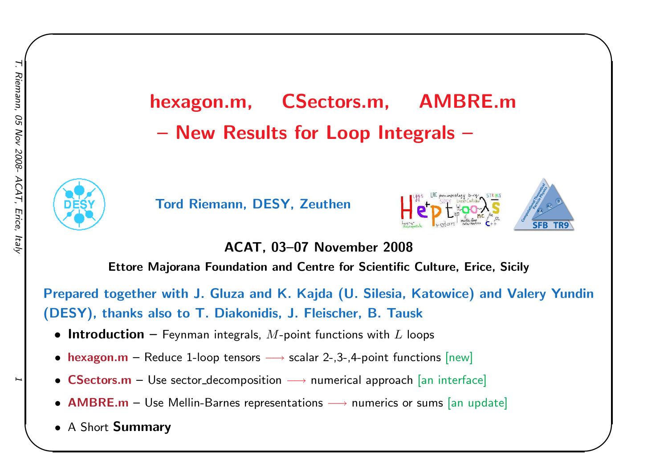# hexagon.m, CSectors.m, AMBRE.mNew Results for Loop Integrals –



Tord Riemann, DESY, Zeuthen





 $\begin{matrix} \hline \end{matrix}$ 

ACAT, 03–07 November <sup>2008</sup>

Ettore Majorana Foundation and Centre for Scientific Culture, Erice, Sicily

Prepared together with J. Gluza and K. Kajda (U. Silesia, Katowice) and Valery Yundin(DESY), thanks also to T. Diakonidis, J. Fleischer, B. Tausk

- $\bullet$  Introduction  $-$  Feynman integrals,  $M$ -point functions with  $L$  loops
- hexagon.m Reduce 1-loop tensors → scalar 2-,3-,4-point functions [new]<br>
→ scalar 2-,3-,4-point functions [new]
- $\textsf{CSections.m}-\textsf{Use sector-decomposition}\longrightarrow \textsf{numerical approach}$  [an interface]
- $\mathsf{AMBRE.m}-\mathsf{Use}\ \mathsf{Mellin}\text{-}\mathsf{Barnes}\ \mathsf{representations}\longrightarrow\mathsf{numerics}\ \mathsf{or}\ \mathsf{sums}\ \mathsf{[an}\ \mathsf{update}]$
- <sup>A</sup> Short Summary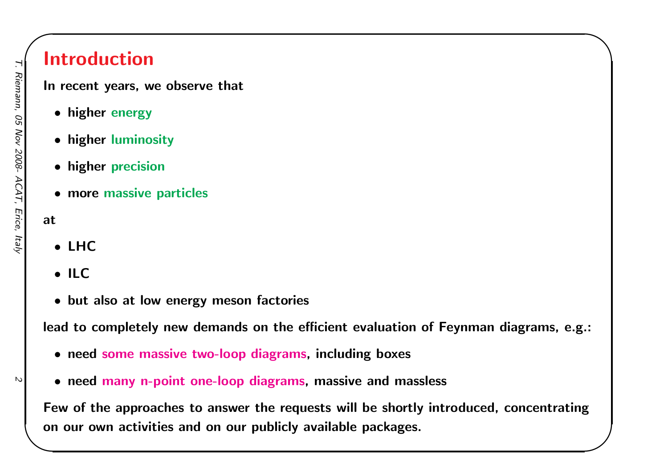### Introduction

In recent years, we observe that

- higher energy
- higher luminosity
- higher precision
- more massive particles

#### at

- LHC
- ILC
- but also at low energy meson factories

lead to completely new demands on the efficient evaluation of Feynman diagrams, e.g.:

 $\begin{matrix} \hline \end{matrix}$ 

- need some massive two-loop diagrams, including boxes
- need many n-point one-loop diagrams, massive and massless

Few of the approaches to answer the requests will be shortly introduced, concentratingon our own activities and on our publicly available packages.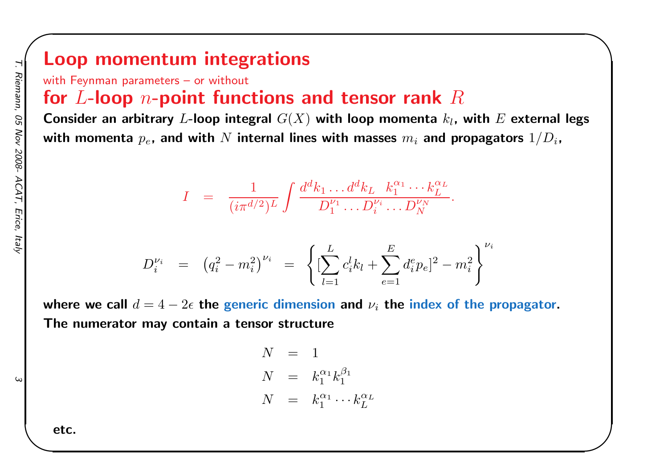### Loop momentum integrations

with Feynman parameters - or without

# for  $L$ -loop  $n$ -point functions and tensor rank  $R$

Consider an arbitrary  $L$ -loop integral  $G(X)$  with loop momenta  $k_l$ , with  $E$  external legs with momenta  $p_e$ , and with  $N$  internal lines with masses  $m_i$  and propagators  $1/D_i$ ,

 $\begin{matrix} \hline \end{matrix}$ 

$$
I = \frac{1}{(i\pi^{d/2})^L} \int \frac{d^d k_1 \dots d^d k_L}{D_1^{\nu_1} \dots D_i^{\nu_i} \dots D_N^{\nu_N}}.
$$

$$
D_i^{\nu_i} = (q_i^2 - m_i^2)^{\nu_i} = \left\{ \left[ \sum_{l=1}^L c_i^l k_l + \sum_{e=1}^E d_i^e p_e \right]^2 - m_i^2 \right\}^{\nu_i}
$$

where we call  $d=4-2\epsilon$  the generic dimension and  $\nu_i$  the index of the propagator. The numerator may contain <sup>a</sup> tensor structure

> $N = 1$  $N\quad =\quad k_{1}^{\alpha_{1}}k_{1}^{\beta_{1}}$  $N = k_1^{\alpha_1} \cdots k_L^{\alpha_L}$ LL

etc.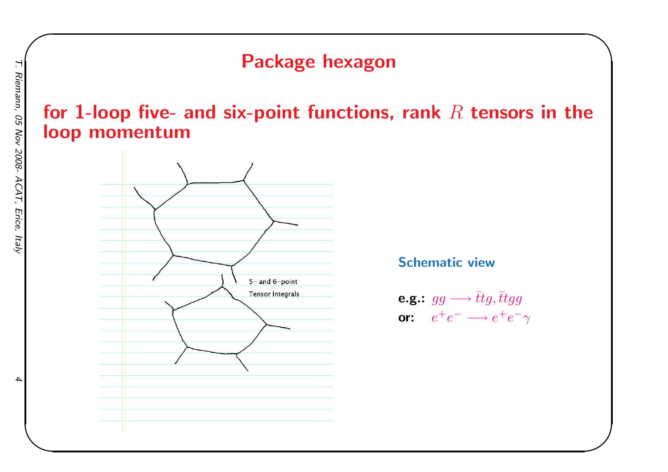### Package hexagon

### for 1-loop five- and six-point functions, rank  $R$  tensors in the<br>loop momentum loop momentum



Schematic view

$$
\begin{array}{ll}\n\textbf{e.g.}: \ g g \longrightarrow \bar{t} t g, \bar{t} t g g \\
\textbf{or:} \quad e^+ e^- \longrightarrow e^+ e^- \gamma\n\end{array}
$$

 $\begin{matrix} \hline \end{matrix}$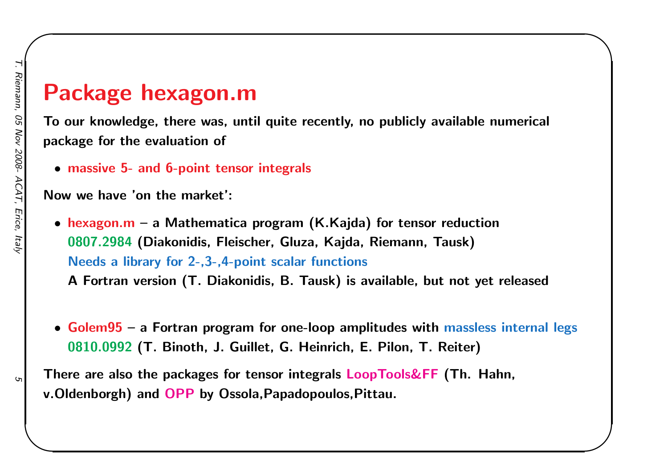# Package hexagon.m

 To our knowledge, there was, until quite recently, no publicly available numerical package for the evaluation of

 $\begin{matrix} \hline \end{matrix}$ 

• massive 5- and 6-point tensor integrals

Now we have 'on the market':

• hexagon.m – a Mathematica program (K.Kajda) for tensor reduction 0807.2984 (Diakonidis, Fleischer, Gluza, Kajda, Riemann, Tausk) Needs <sup>a</sup> library for 2-,3-,4-point scalar functions

<sup>A</sup> Fortran version (T. Diakonidis, B. Tausk) is available, but not yet released

• Golem95 – <sup>a</sup> Fortran program for one-loop amplitudes with massless internal legs 0810.0992 (T. Binoth, J. Guillet, G. Heinrich, E. Pilon, T. Reiter)

There are also the packages for tensor integrals LoopTools&FF (Th. Hahn, v.Oldenborgh) and OPP by Ossola,Papadopoulos,Pittau.

G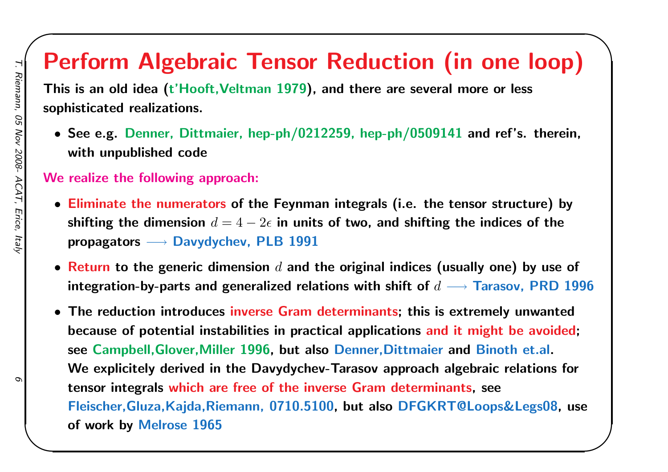# Perform Algebraic Tensor Reduction (in one loop)

 $\begin{matrix} \hline \end{matrix}$ 

This is an old idea (t'Hooft, Veltman 1979), and there are several more or less sophisticated realizations.

• See e.g. Denner, Dittmaier, hep-ph/0212259, hep-ph/0509141 and ref's. therein, with unpublished code

### We realize the following approach:

- Eliminate the numerators of the Feynman integrals (i.e. the tensor structure) by shifting the dimension  $d = 4 - 2\epsilon$  in units of two, and shifting the indices of the propagators  $\longrightarrow$  Davydychev, PLB 1991
- $\bullet$  Return to the generic dimension  $d$  and the original indices (usually one) by use of integration-by-parts and generalized relations with shift of  $d\longrightarrow$  Tarasov, PRD 1996
- The reduction introduces inverse Gram determinants; this is extremely unwantedbecause of potential instabilities in practical applications and it might be avoided; see Campbell,Glover,Miller 1996, but also Denner,Dittmaier and Binoth et.al. We explicitely derived in the Davydychev-Tarasov approach algebraic relations for tensor integrals which are free of the inverse Gram determinants, seeFleischer,Gluza,Kajda,Riemann, 0710.5100, but also DFGKRT@Loops&Legs08, use of work by Melrose <sup>1965</sup>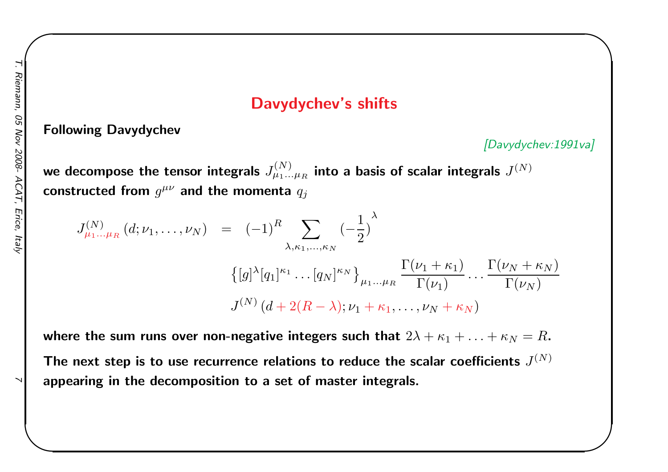### Davydychev's shifts

Following Davydychev

[Davydychev:1991va]

 $\begin{matrix} \hline \end{matrix}$ 

we decompose the tensor integrals  $J_{\mu_1 ... \mu_R}^{(N)}$ constructed from  $g^{\mu\nu}$  and the momenta  $q_j$  $_R$  into a basis of scalar integrals  $J^{(N)}$ 

$$
J_{\mu_1...\mu_R}^{(N)}(d;\nu_1,...,\nu_N) = (-1)^R \sum_{\lambda,\kappa_1,...,\kappa_N} (-\frac{1}{2})^{\lambda}
$$
  

$$
\{ [g]^{\lambda} [q_1]^{\kappa_1} ... [q_N]^{\kappa_N} \}_{\mu_1...\mu_R} \frac{\Gamma(\nu_1 + \kappa_1)}{\Gamma(\nu_1)} ... \frac{\Gamma(\nu_N + \kappa_N)}{\Gamma(\nu_N)}
$$
  

$$
J^{(N)}(d + 2(R - \lambda); \nu_1 + \kappa_1, ..., \nu_N + \kappa_N)
$$

where the sum runs over non-negative integers such that  $2\lambda+\kappa_1+\ldots$  - $+ \, \kappa_N=R$  .

The next step is to use recurrence relations to reduce the scalar coefficients  $J^{(N)}$ appearing in the decomposition to <sup>a</sup> set of master integrals.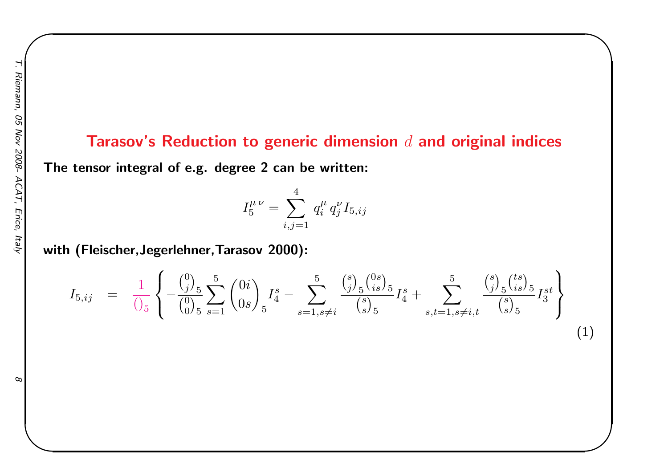# Tarasov's Reduction to generic dimension  $d$  and original indices

 $\begin{matrix} \hline \end{matrix}$ 

The tensor integral of e.g. degree <sup>2</sup> can be written:

$$
I_5^{\mu\ \nu} = \sum_{i,j=1}^4\, q_i^{\mu}\, q_j^{\nu} I_{5,ij}
$$

with (Fleischer,Jegerlehner,Tarasov 2000):

$$
I_{5,ij} = \frac{1}{\binom{5}{5}} \left\{ -\frac{\binom{0}{j}_5}{\binom{0}{0}} \sum_{s=1}^5 \binom{0i}{0s} I_4^s - \sum_{s=1, s \neq i}^5 \frac{\binom{s}{j}_5 \binom{0s}{is}}{\binom{s}{s}_5} I_4^s + \sum_{s,t=1, s \neq i,t}^5 \frac{\binom{s}{j}_5 \binom{ts}{is}}{\binom{s}{s}_5} I_3^{st} \right\}
$$
(1)

 $\infty$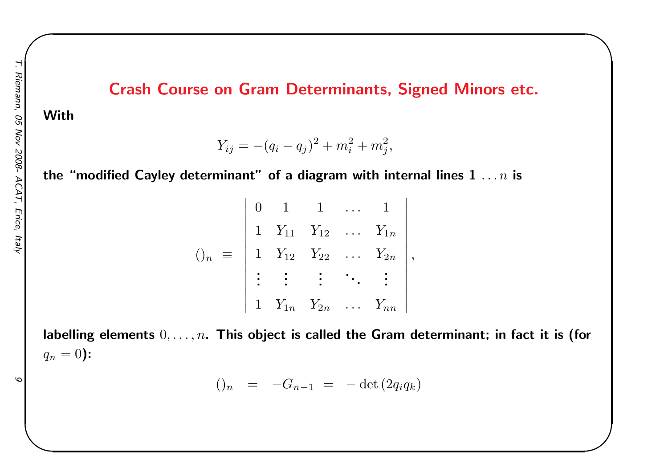### Crash Course on Gram Determinants, Signed Minors etc.

 $\begin{matrix} \hline \end{matrix}$ 

### With

 $Y_{ij} = -(q_i - q_j)^2 + m_i^2 + m_j^2,$ 

the "modified Cayley determinant" of a diagram with internal lines  $\boldsymbol{1} \; \ldots n$  is

$$
()_{n} \equiv \begin{vmatrix} 0 & 1 & 1 & \dots & 1 \\ 1 & Y_{11} & Y_{12} & \dots & Y_{1n} \\ 1 & Y_{12} & Y_{22} & \dots & Y_{2n} \\ \vdots & \vdots & \vdots & \ddots & \vdots \\ 1 & Y_{1n} & Y_{2n} & \dots & Y_{nn} \end{vmatrix},
$$

labelling elements  $0, \ldots, n$ . This object is called the Gram determinant; in fact it is (for  $q_{n}$  $n = 0$ ):

$$
()_{n} = -G_{n-1} = -\det(2q_{i}q_{k})
$$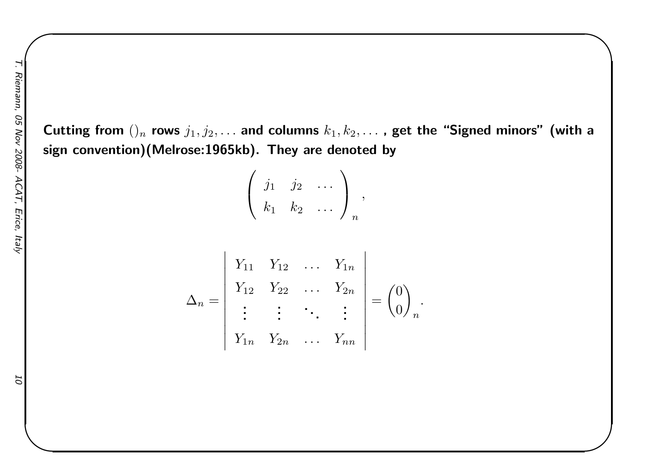Cutting from ()  $_n$  rows  $j_1, j_2, \ldots$  and columns  $k_1, k_2, \ldots$  , get the "Signed minors" (with a sign convention)(Melrose:1965kb). They are denoted by

 $\begin{matrix} \hline \end{matrix}$ 

$$
\left(\begin{array}{ccc}j_1 & j_2 & \dots \\ k_1 & k_2 & \dots \end{array}\right)_n,
$$

$$
\Delta_n = \begin{vmatrix}\nY_{11} & Y_{12} & \dots & Y_{1n} \\
Y_{12} & Y_{22} & \dots & Y_{2n} \\
\vdots & \vdots & \ddots & \vdots \\
Y_{1n} & Y_{2n} & \dots & Y_{nn}\n\end{vmatrix} = \begin{pmatrix} 0 \\ 0 \end{pmatrix}_n
$$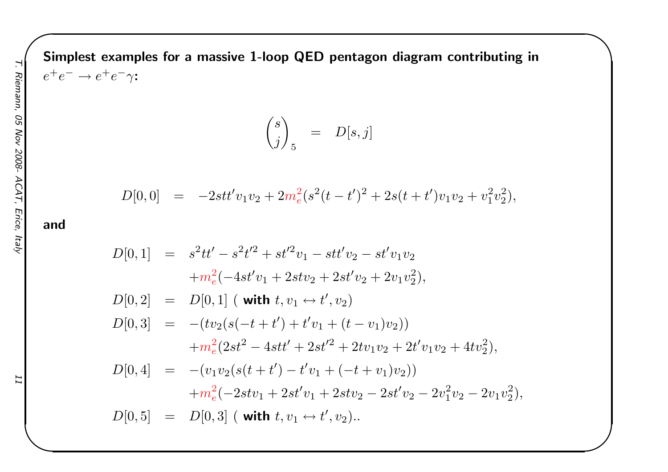Simplest examples for a massive 1-loop QED pentagon diagram contributing in  $\pm$  –  $\pm$  $e^+$  $^+e^- \rightarrow e^+$  $\tau e^-\gamma$ :

$$
\binom{s}{j}_{5} \quad = \quad D[s,j]
$$

 $\begin{matrix} \hline \end{matrix}$ 

$$
D[0,0] = -2st t' v_1 v_2 + 2m_e^2 (s^2(t-t')^2 + 2s(t+t')v_1 v_2 + v_1^2 v_2^2),
$$

and

$$
D[0,1] = s2tt' - s2t'2 + st'2v1 - st't'v2 - st'v1v2
$$
  
+ $m2e(-4st'v1 + 2stv2 + 2st'v2 + 2v1v22),$   

$$
D[0,2] = D[0,1] \t (with t, v1 \leftrightarrow t', v2)
$$
  

$$
D[0,3] = -(tv2(s(-t + t') + t'v1 + (t - v1)v2))
$$
  
+ $m2e(2st2 - 4stt' + 2st'2 + 2tv1v2 + 2t'v1v2 + 4tv22),$   

$$
D[0,4] = -(v1v2(s(t + t') - t'v1 + (-t + v1)v2))
$$
  
+ $m2e(-2stv1 + 2st'v1 + 2stv2 - 2st'v2 - 2v12v22),$   

$$
D[0,5] = D[0,3] \t (with t, v1 \leftrightarrow t', v2).
$$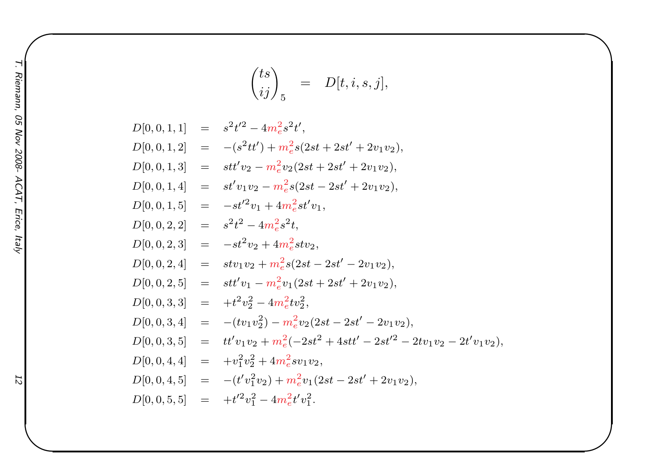$$
\binom{ts}{ij}_5 = D[t, i, s, j],
$$

 $\begin{matrix} \hline \end{matrix}$ 

$$
D[0,0,1,1] = s^{2}t^{2} - 4m_{e}^{2}s^{2}t',
$$
  
\n
$$
D[0,0,1,2] = -(s^{2}tt') + m_{e}^{2}s(2st + 2st' + 2v_{1}v_{2}),
$$
  
\n
$$
D[0,0,1,3] = st'v_{2} - m_{e}^{2}v_{2}(2st + 2st' + 2v_{1}v_{2}),
$$
  
\n
$$
D[0,0,1,4] = st'v_{1}v_{2} - m_{e}^{2}s(2st - 2st' + 2v_{1}v_{2}),
$$
  
\n
$$
D[0,0,1,5] = -st'^{2}v_{1} + 4m_{e}^{2}st'v_{1},
$$
  
\n
$$
D[0,0,2,2] = s^{2}t^{2} - 4m_{e}^{2}s^{2}t,
$$
  
\n
$$
D[0,0,2,3] = -st^{2}v_{2} + 4m_{e}^{2}stv_{2},
$$
  
\n
$$
D[0,0,2,4] = stv_{1}v_{2} + m_{e}^{2}s(2st - 2st' - 2v_{1}v_{2}),
$$
  
\n
$$
D[0,0,2,5] = stt'v_{1} - m_{e}^{2}v_{1}(2st + 2st' + 2v_{1}v_{2}),
$$
  
\n
$$
D[0,0,3,3] = +t^{2}v_{2}^{2} - 4m_{e}^{2}tv_{2}^{2},
$$
  
\n
$$
D[0,0,3,4] = -(tv_{1}v_{2}^{2}) - m_{e}^{2}v_{2}(2st - 2st' - 2v_{1}v_{2}),
$$
  
\n
$$
D[0,0,3,5] = tt'v_{1}v_{2} + m_{e}^{2}(-2st^{2} + 4stt' - 2st'^{2} - 2tv_{1}v_{2} - 2t'v_{1}v_{2}),
$$
  
\n
$$
D[0,0,4,4] = +v_{1}^{2}v_{2}^{2} + 4m_{e}^{2}sv_{1}v_{2},
$$
  
\n
$$
D[0,0,4,5] = -(t'v_{1}^{
$$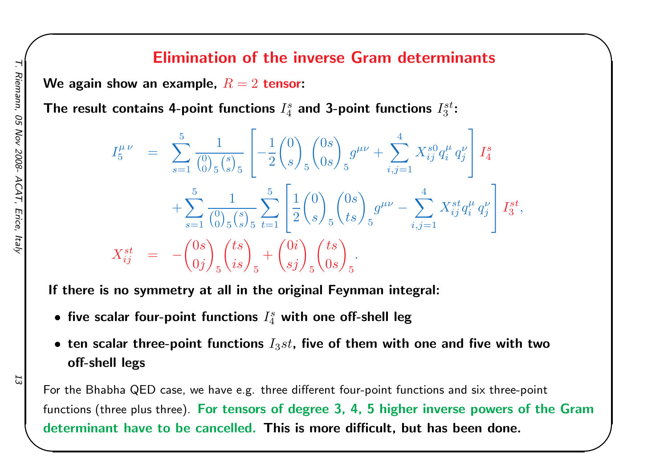### Elimination of the inverse Gram determinants

 $\begin{matrix} \hline \end{matrix}$ 

We again show an example,  $R=2$  tensor:

The result contains 4-point functions  $I_4^s$  and 3-point functions  $I_3^{st}$ :

$$
I_5^{\mu\nu} = \sum_{s=1}^5 \frac{1}{\binom{0}{0}} \frac{1}{s \binom{s}{s}} \left[ -\frac{1}{2} \binom{0}{s} \frac{0s}{s} \right]_5 g^{\mu\nu} + \sum_{i,j=1}^4 X_{ij}^{s0} q_i^{\mu} q_j^{\nu} \left] I_4^s
$$
  
+ 
$$
\sum_{s=1}^5 \frac{1}{\binom{0}{0}} \sum_{s \binom{s}{s}} \sum_{t=1}^5 \left[ \frac{1}{2} \binom{0}{s} \binom{0s}{ts} \right]_5 g^{\mu\nu} - \sum_{i,j=1}^4 X_{ij}^{st} q_i^{\mu} q_j^{\nu} \left] I_3^{st},
$$
  

$$
X_{ij}^{st} = -\binom{0s}{0j} \frac{ts}{s} \binom{ts}{is} + \binom{0i}{sj} \frac{ts}{s} \binom{ts}{0s} \frac{1}{s}.
$$

If there is no symmetry at all in the original Feynman integral:

- $\bullet$  five scalar four-point functions  $I_4^s$  with one off-shell leg
- $\bullet\,$  ten scalar three-point functions  $I_3st$ , five of them with one and five with two off-shell legs

For the Bhabha QED case, we have e.g. three different four-point functions and six three-pointfunctions (three plus three). For tensors of degree 3, 4, 5 higher inverse powers of the Gram determinant have to be cancelled. This is more difficult, but has been done.

Ξ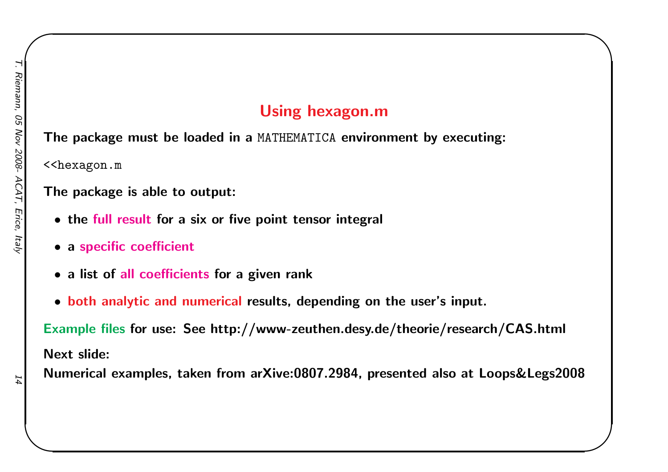### Using hexagon.m

 $\begin{matrix} \hline \end{matrix}$ 

The package must be loaded in <sup>a</sup> MATHEMATICA environment by executing:

<<hexagon.m

### The package is able to output:

- the full result for <sup>a</sup> six or five point tensor integral
- $\bullet$  a specific coefficient
- <sup>a</sup> list of all coefficients for <sup>a</sup> <sup>g</sup>iven rank
- both analytic and numerical results, depending on the user's input.

Example files for use: See http://www-zeuthen.desy.de/theorie/research/CAS.html Next slide:

Numerical examples, taken from arXive:0807.2984, presented also at Loops&Legs2008

14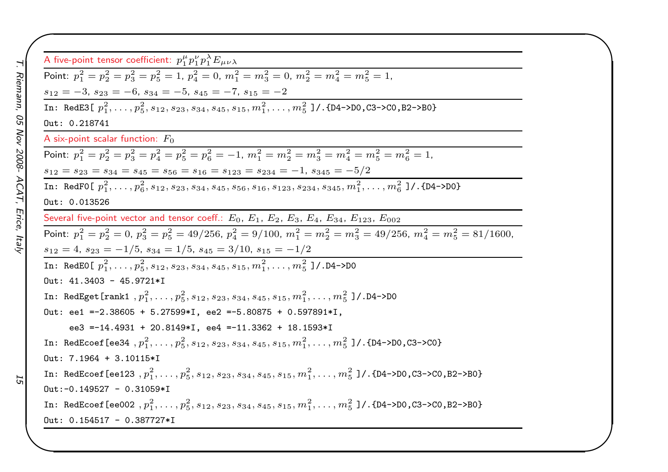| A five-point tensor coefficient: $p_1^{\mu} p_1^{\nu} p_1^{\lambda} E_{\mu\nu\lambda}$                                                         |
|------------------------------------------------------------------------------------------------------------------------------------------------|
| Point: $p_1^2 = p_2^2 = p_3^2 = p_5^2 = 1$ , $p_4^2 = 0$ , $m_1^2 = m_3^2 = 0$ , $m_2^2 = m_4^2 = m_5^2 = 1$ ,                                 |
| $s_{12} = -3, s_{23} = -6, s_{34} = -5, s_{45} = -7, s_{15} = -2$                                                                              |
| In: RedE3[ $p_1^2, \ldots, p_5^2, s_{12}, s_{23}, s_{34}, s_{45}, s_{15}, m_1^2, \ldots, m_5^2$ ]/.{D4->D0,C3->C0,B2->B0}                      |
| Out: 0.218741                                                                                                                                  |
| A six-point scalar function: $F_0$                                                                                                             |
| Point: $p_1^2 = p_2^2 = p_3^2 = p_4^2 = p_5^2 = p_6^2 = -1$ , $m_1^2 = m_2^2 = m_3^2 = m_4^2 = m_5^2 = m_6^2 = 1$ ,                            |
| $s_{12} = s_{23} = s_{34} = s_{45} = s_{56} = s_{16} = s_{123} = s_{234} = -1, s_{345} = -5/2$                                                 |
| In: RedF0[ $p_1^2, \ldots, p_6^2, s_{12}, s_{23}, s_{34}, s_{45}, s_{56}, s_{16}, s_{123}, s_{234}, s_{345}, m_1^2, \ldots, m_6^2$ ]/.{D4->D0} |
| Out: 0.013526                                                                                                                                  |
| Several five-point vector and tensor coeff.: $E_0$ , $E_1$ , $E_2$ , $E_3$ , $E_4$ , $E_{34}$ , $E_{123}$ , $E_{002}$                          |
| Point: $p_1^2 = p_2^2 = 0$ , $p_3^2 = p_5^2 = 49/256$ , $p_4^2 = 9/100$ , $m_1^2 = m_2^2 = m_3^2 = 49/256$ , $m_4^2 = m_5^2 = 81/1600$ ,       |
| $s_{12} = 4$ , $s_{23} = -1/5$ , $s_{34} = 1/5$ , $s_{45} = 3/10$ , $s_{15} = -1/2$                                                            |
| In: RedEO[ $p_1^2, \ldots, p_5^2, s_{12}, s_{23}, s_{34}, s_{45}, s_{15}, m_1^2, \ldots, m_5^2$ ]/.D4->D0                                      |
| Out: $41.3403 - 45.9721*I$                                                                                                                     |
| In: RedEget [rank1, $p_1^2, \ldots, p_5^2, s_{12}, s_{23}, s_{34}, s_{45}, s_{15}, m_1^2, \ldots, m_5^2$ ]/.D4->D0                             |
| Out: ee1 =-2.38605 + 5.27599*I, ee2 =-5.80875 + 0.597891*I,                                                                                    |
| ee3 =-14.4931 + 20.8149*I, ee4 =-11.3362 + 18.1593*I                                                                                           |
| In: RedEcoef [ee34, $p_1^2, \ldots, p_5^2, s_{12}, s_{23}, s_{34}, s_{45}, s_{15}, m_1^2, \ldots, m_5^2$ ]/.{D4->D0,C3->C0}                    |
| Out: $7.1964 + 3.10115*I$                                                                                                                      |
| In: RedEcoef [ee123, $p_1^2, \ldots, p_5^2, s_{12}, s_{23}, s_{34}, s_{45}, s_{15}, m_1^2, \ldots, m_5^2$ ]/.{D4->D0,C3->C0,B2->B0}            |
| $Out:-0.149527 - 0.31059*I$                                                                                                                    |
| In: RedEcoef [ee002, $p_1^2, \ldots, p_5^2, s_{12}, s_{23}, s_{34}, s_{45}, s_{15}, m_1^2, \ldots, m_5^2$ ]/.{D4->D0,C3->C0,B2->B0}            |
| Out: $0.154517 - 0.387727*I$                                                                                                                   |

 $\begin{matrix} \hline \end{matrix}$ 

15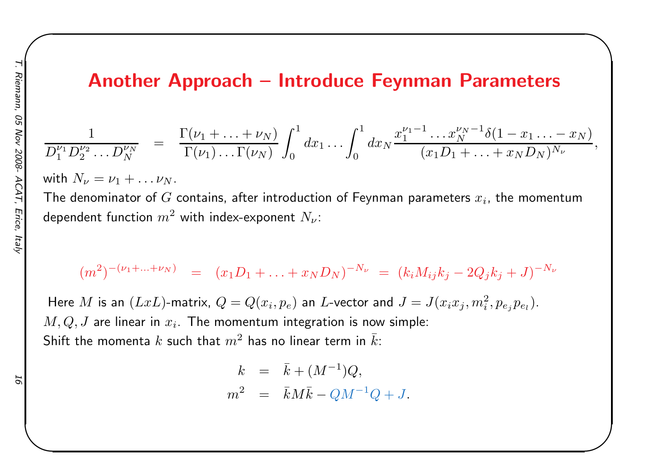### Another Approach – Introduce Feynman Parameters

 $\begin{matrix} \hline \end{matrix}$ 

$$
\frac{1}{D_1^{\nu_1}D_2^{\nu_2}\dots D_N^{\nu_N}} = \frac{\Gamma(\nu_1 + \dots + \nu_N)}{\Gamma(\nu_1)\dots\Gamma(\nu_N)} \int_0^1 dx_1 \dots \int_0^1 dx_N \frac{x_1^{\nu_1 - 1}\dots x_N^{\nu_N - 1} \delta(1 - x_1 \dots - x_N)}{(x_1 D_1 + \dots + x_N D_N)^{N_{\nu}}},
$$

with  $N_\nu = \nu_1 + \ldots \nu_N$ **Contract Contract Contract** 

The denominator of  $G$  contains, after introduction of Feynman parameters  $x_i$ , the momentum dependent function  $m^2$  with index-exponent  $N_\nu$ :

$$
(m^2)^{-(\nu_1 + \ldots + \nu_N)} = (x_1 D_1 + \ldots + x_N D_N)^{-N_{\nu}} = (k_i M_{ij} k_j - 2Q_j k_j + J)^{-N_{\nu}}
$$

Here  $M$  is an  $(LxL)$ -matrix,  $Q=Q(x_i, p_e)$  an  $L$ -vector and  $J=J(x_ix_j, m_i^2, p_{e_j}p_{e_l}).$  $M,Q,J$  are linear in  $x_i$ . The momentum integration is now simple: Shift the momenta  $k$  such that  $m^2$  has no linear term in  $\bar{k}$ :

$$
k = \bar{k} + (M^{-1})Q,
$$
  

$$
m^2 = \bar{k}M\bar{k} - QM^{-1}Q + J.
$$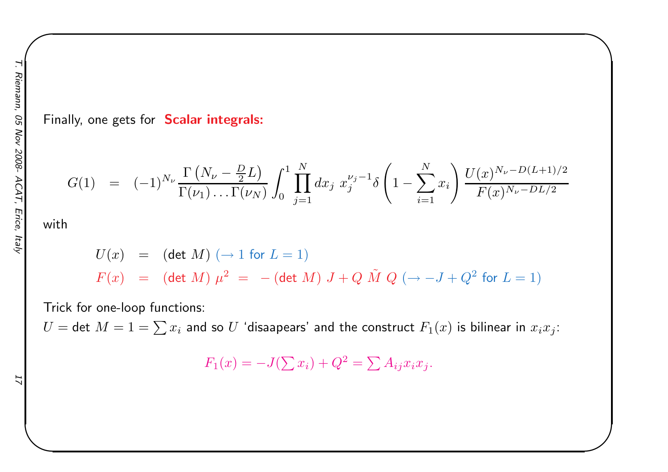Finally, one gets for **Scalar integrals:** 

$$
G(1) = (-1)^{N_{\nu}} \frac{\Gamma(N_{\nu} - \frac{D}{2}L)}{\Gamma(\nu_1) \dots \Gamma(\nu_N)} \int_0^1 \prod_{j=1}^N dx_j \ x_j^{\nu_j - 1} \delta\left(1 - \sum_{i=1}^N x_i\right) \frac{U(x)^{N_{\nu} - D(L+1)/2}}{F(x)^{N_{\nu} - DL/2}}
$$

 $\begin{matrix} \hline \end{matrix}$ 

with

$$
U(x) = (\det M) (\to 1 \text{ for } L = 1)
$$
  

$$
F(x) = (\det M) \mu^{2} = -(\det M) J + Q \tilde{M} Q (\to -J + Q^{2} \text{ for } L = 1)
$$

Trick for one-loop functions:

 $U=$  det  $M=1=\sum x_i$  and so  $U$  'disaapears' and the construct  $F_1(x)$  is bilinear in  $x_ix_j$ :

$$
F_1(x) = -J(\sum x_i) + Q^2 = \sum A_{ij} x_i x_j.
$$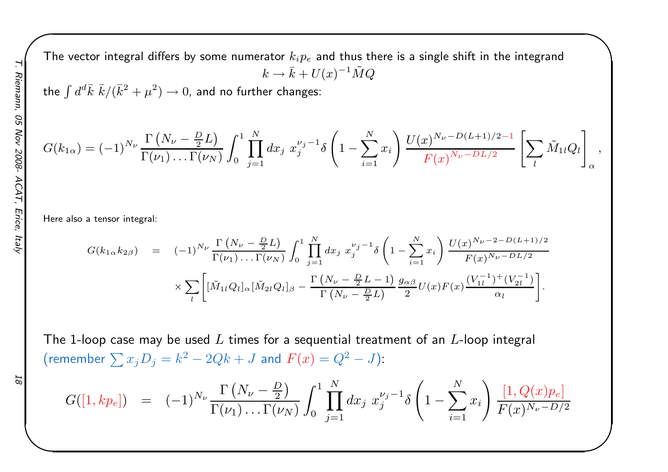The vector integral differs by some numerator  $k_i p_e$  and thus there is a single shift in the integrand  $k\rightarrow \bar{k}+U(x)^{-1}\tilde{M}Q$ 

the  $\int d^d\bar{k}\,\,\bar{k}/(\bar{k}^2+\mu^2)\to 0$ , and no further changes:

$$
G(k_{1\alpha}) = (-1)^{N_{\nu}} \frac{\Gamma(N_{\nu} - \frac{D}{2}L)}{\Gamma(\nu_1) \dots \Gamma(\nu_N)} \int_0^1 \prod_{j=1}^N dx_j \ x_j^{\nu_j - 1} \delta\left(1 - \sum_{i=1}^N x_i\right) \frac{U(x)^{N_{\nu} - D(L+1)/2 - 1}}{F(x)^{N_{\nu} - D(L/2}} \left[\sum_l \tilde{M}_{1l} Q_l\right]_{\alpha},
$$

 $\begin{matrix} \hline \end{matrix}$ 

Here also <sup>a</sup> tensor integral:

$$
G(k_{1\alpha}k_{2\beta}) = (-1)^{N_{\nu}} \frac{\Gamma(N_{\nu} - \frac{D}{2}L)}{\Gamma(\nu_{1}) \dots \Gamma(\nu_{N})} \int_{0}^{1} \prod_{j=1}^{N} dx_{j} x_{j}^{\nu_{j}-1} \delta\left(1 - \sum_{i=1}^{N} x_{i}\right) \frac{U(x)^{N_{\nu}-2-D(L+1)/2}}{F(x)^{N_{\nu}-DL/2}} \times \sum_{l} \left[ [\tilde{M}_{1l}Q_{l}]_{\alpha} [\tilde{M}_{2l}Q_{l}]_{\beta} - \frac{\Gamma(N_{\nu} - \frac{D}{2}L - 1)}{\Gamma(N_{\nu} - \frac{D}{2}L)} \frac{g_{\alpha\beta}}{2} U(x)F(x) \frac{(V_{1l}^{-1})^{+}(V_{2l}^{-1})}{\alpha_{l}} \right].
$$

The 1-loop case may be used  $L$  times for a sequential treatment of an  $L$ -loop integral (remember  $\sum x_j D_j = k^2-2Qk+J$  and  $F(x) = Q^2-J$ ):

$$
\mathcal{S} \mathcal{I}
$$

$$
G([1, kp_e]) = (-1)^{N_{\nu}} \frac{\Gamma(N_{\nu} - \frac{D}{2})}{\Gamma(\nu_1) \dots \Gamma(\nu_N)} \int_0^1 \prod_{j=1}^N dx_j \ x_j^{\nu_j - 1} \delta\left(1 - \sum_{i=1}^N x_i\right) \frac{[1, Q(x)p_e]}{F(x)^{N_{\nu} - D/2}}
$$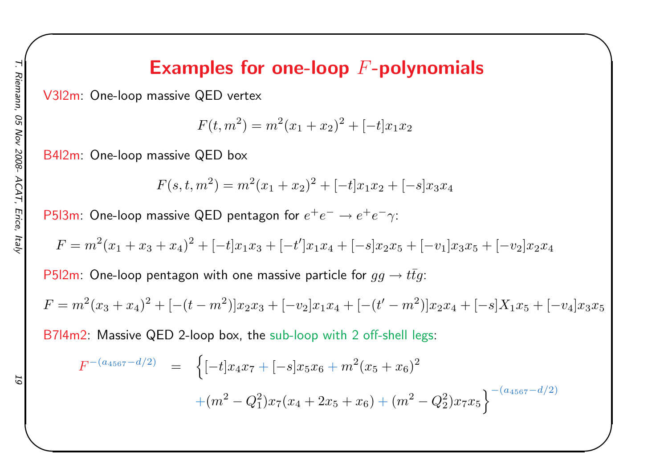# Examples for one-loop  $F\text{-}\mathbf{polynomials}$

 $\begin{matrix} \hline \end{matrix}$ 

V3l2m: One-loop massive QED vertex

 $F(t, m^2) = m^2(x_1 + x_2)^2 + [ -t]x_1x_2$ 

B4l2m: One-loop massive QED box

 $F(s,t,m^2) = m^2(x_1+x_2)^2 + ( -t]x_1x_2 + [ -s]x_3x_4$ 

<code>P5l3m: One-loop</code> massive QED pentagon for  $e^+e^-\to e^+e^-\gamma$ :

$$
F = m^{2}(x_{1} + x_{3} + x_{4})^{2} + [-t]x_{1}x_{3} + [-t']x_{1}x_{4} + [-s]x_{2}x_{5} + [-v_{1}]x_{3}x_{5} + [-v_{2}]x_{2}x_{4}
$$

<code>P5l2m: One-loop</code> pentagon with one massive particle for  $gg\to t\bar{t}g$ :

$$
F = m^{2}(x_{3} + x_{4})^{2} + [-(t - m^{2})]x_{2}x_{3} + [-v_{2}]x_{1}x_{4} + [-(t' - m^{2})]x_{2}x_{4} + [-s]X_{1}x_{5} + [-v_{4}]x_{3}x_{5}
$$

B7l4m2: Massive QED 2-loop box, the sub-loop with <sup>2</sup> off-shell legs:

$$
F^{-(a_{4567}-d/2)} = \left\{ [-t]x_4x_7 + [-s]x_5x_6 + m^2(x_5+x_6)^2 + (m^2 - Q_1^2)x_7(x_4+2x_5+x_6) + (m^2 - Q_2^2)x_7x_5 \right\}^{-(a_{4567}-d/2)}
$$

ā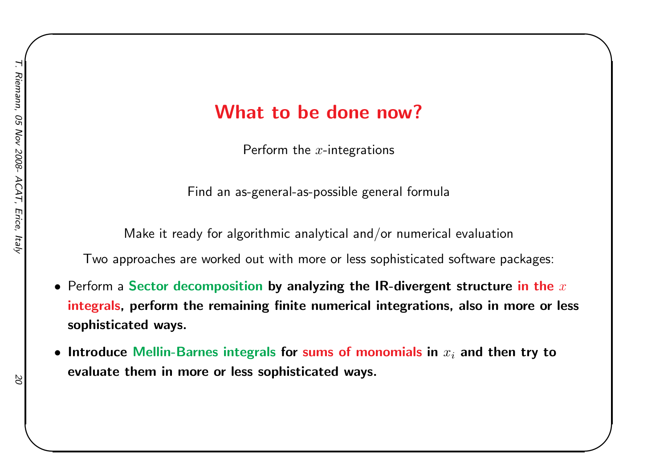### What to be done now?

 $\begin{matrix} \hline \end{matrix}$ 

Perform the  $x\text{-}$ integrations

Find an as-general-as-possible genera<sup>l</sup> formula

Make it ready for algorithmic analytical and/or numerical evaluation

Two approaches are worked out with more or less sophisticated software packages:

- $\bullet$  Perform a Sector decomposition by analyzing the IR-divergent structure in the  $x$ integrals, perform the remaining finite numerical integrations, also in more or less sophisticated ways.
- $\bullet\,$  Introduce Mellin-Barnes integrals for sums of monomials in  $x_i$  and then try to evaluate them in more or less sophisticated ways.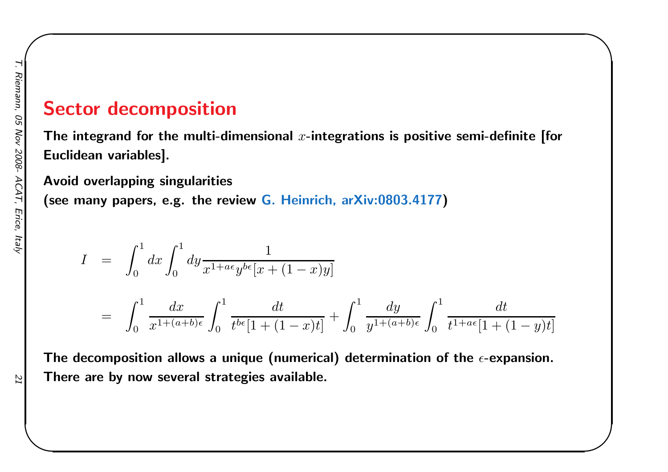# T. Riemann, 05 Nov 2008- ACAT, Erice, Italy 21 Riemann, 05 Nov 2008-ACAT, , Erice, ltaly

### Sector decomposition

The integrand for the multi-dimensional  $x\text{-}$ integrations is positive semi-definite [for Euclidean variables].

 $\begin{matrix} \hline \end{matrix}$ 

Avoid overlapping singularities(see many papers, e.g. the review G. Heinrich, arXiv:0803.4177 )

$$
I = \int_0^1 dx \int_0^1 dy \frac{1}{x^{1+a\epsilon}y^{b\epsilon}[x+(1-x)y]}
$$
  
= 
$$
\int_0^1 \frac{dx}{x^{1+(a+b)\epsilon}} \int_0^1 \frac{dt}{t^{b\epsilon}[1+(1-x)t]} + \int_0^1 \frac{dy}{y^{1+(a+b)\epsilon}} \int_0^1 \frac{dt}{t^{1+a\epsilon}[1+(1-y)t]}
$$

The decomposition allows a unique (numerical) determination of the  $\epsilon$ -expansion. There are by now several strategies available.

ZZ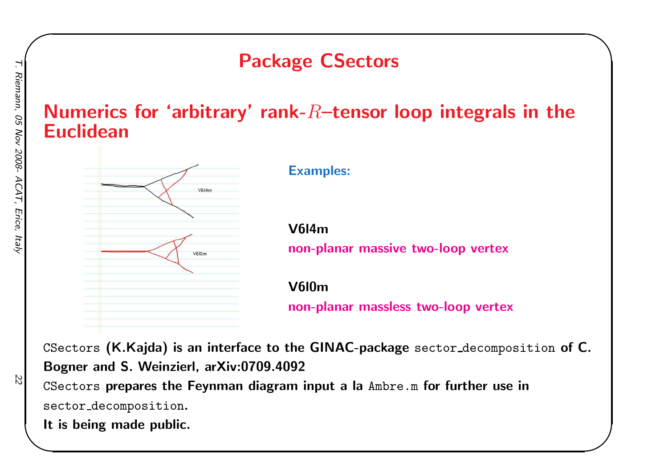# Package CSectors

### Numerics for 'arbitrary' rank- $R\textrm{--}$ tensor loop integrals in the Euclidean



Examples:

V6l4m

non-planar massive two-loop vertex

 $\begin{matrix} \hline \end{matrix}$ 

V6l0m

non-planar massless two-loop vertex

CSectors  $(\mathsf{K}.\mathsf{Kajda})$  is an interface to the  $\mathsf{GINAC}\text{-package sector-decomposition of } \mathsf{C}.$ Bogner and S. Weinzierl, arXiv:0709.4092

CSectors prepares the Feynman diagram input <sup>a</sup> la Ambre.m for further use insector decomposition.

It is being made public.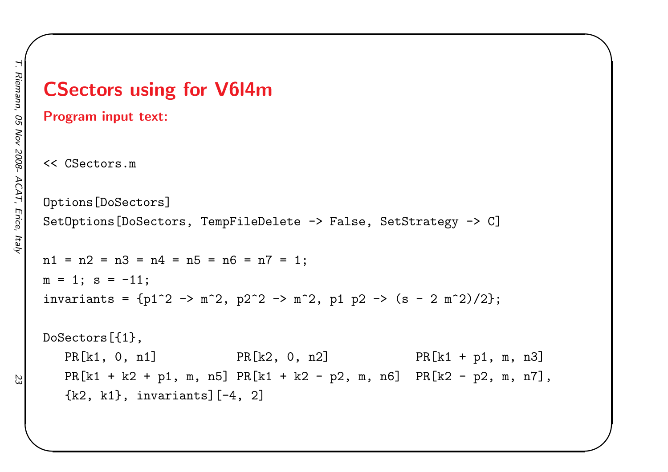# CSectors using for V6l4mProgram input text: << CSectors.m Options[DoSectors]SetOptions[DoSectors, TempFileDelete -> False, SetStrategy -> C]  $n1 = n2 = n3 = n4 = n5 = n6 = n7 = 1$ ;  $m = 1$ ;  $s = -11$ ; invariants =  ${p1^2 \to m^2, p2^2 \to m^2, p1 p2 \to (s - 2 m^2)/2};$ DoSectors[{1},PR[k1, 0, n1] PR[k2, 0, n2] PR[k1 + p1, m, n3] PR[k1 <sup>+</sup> k2 <sup>+</sup> <sup>p</sup>1, m, n5] PR[k1 <sup>+</sup> k2 - <sup>p</sup>2, m, n6] PR[k2 - <sup>p</sup>2, m, n7],  $\{k2, k1\}$ , invariants] $[-4, 2]$

 $\begin{matrix} \hline \end{matrix}$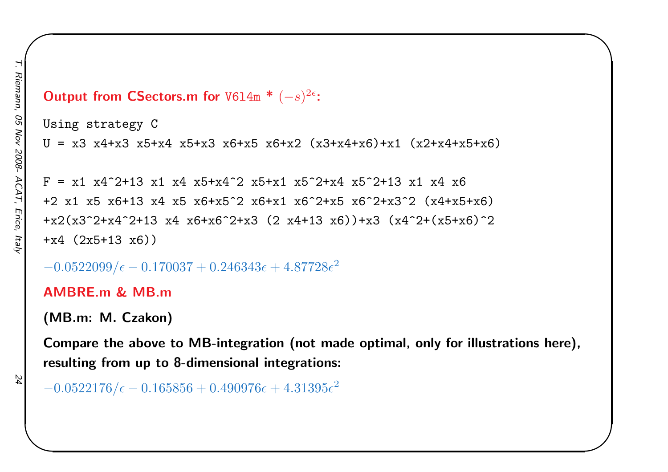### $\textsf{Output from CSections.m for } \texttt{V6l4m}$  \*  $(-s)^{2\epsilon}\texttt{:}$

```
Using strategy C
U = x3 x4+x3 x5+x4 x5+x3 x6+x5 x6+x2 (x3+x4+x6)+x1 (x2+x4+x5+x6)
```
 $\begin{matrix} \hline \end{matrix}$ 

 $F = x1 x4^2+13 x1 x4 x5+x4^2 x5+x1 x5^2+x4 x5^2+x4 x5^2+13 x1 x4 x6$ +2 x1 x5 x6+13 x4 x5 x6+x5^2 x6+x1 x6^2+x5 x6^2+x3^2 (x4+x5+x6) +x2(x3^2+x4^2+13 x4 x6+x6^2+x3 (2 x4+13 x6))+x3 (x4^2+(x5+x6)^2 +x4 (2x5+13 x6))

 $-0.0522099/\epsilon - 0.170037 + 0.246343\epsilon + 4.87728\epsilon^2$ 

### AMBRE.m & MB.m

```
(MB.m: M. Czakon)
```
Compare the above to MB-integration (not made optimal, only for illustrations here), resulting from up to 8-dimensional integrations:

```
-0.0522176/\epsilon - 0.165856 + 0.490976\epsilon + 4.31395\epsilon^2
```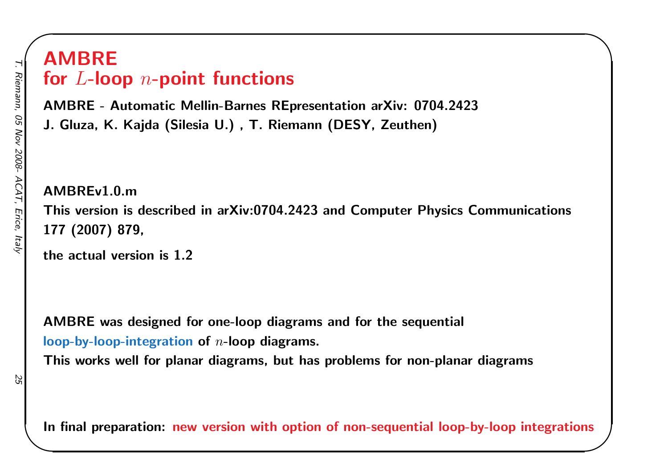# T. Riemann, 05 Nov 2008- ACAT, Erice, Italy 25 Riemann, 05 Nov 2008-ACAT, Erice, ltaly

# AMBREfor  $L$ -loop  $n\text{-}\mathbf{point}$  functions

AMBRE - Automatic Mellin-Barnes REpresentation arXiv: 0704.2423J. Gluza, K. Kajda (Silesia U.) , T. Riemann (DESY, Zeuthen)

AMBREv1.0.m This version is described in arXiv:0704.2423 and Computer Physics Communications<sup>177</sup> (2007) 879,

 $\begin{matrix} \hline \end{matrix}$ 

the actual version is 1.2

AMBRE was designed for one-loop diagrams and for the sequential loop-by-loop-integration of  $\it n$ -loop diagrams.

This works well for planar diagrams, but has problems for non-planar diagrams

In final preparation: new version with option of non-sequential loop-by-loop integrations

25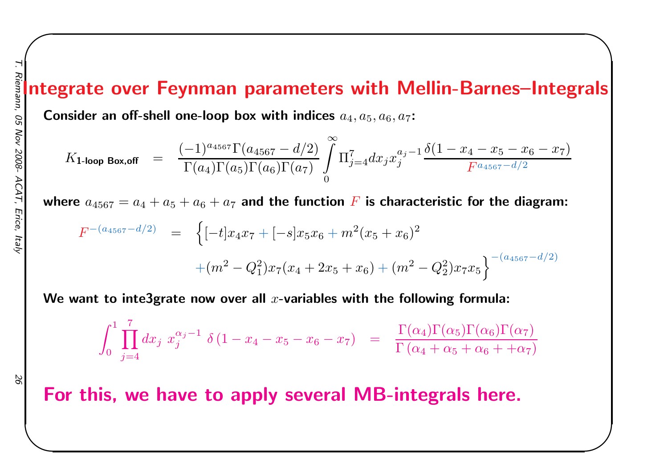# $\begin{bmatrix} 1 & 1 \\ 1 & 1 \end{bmatrix}$ Integrate over Feynman parameters with Mellin-Barnes-Integrals

Consider an off-shell one-loop box with indices  $a_4, a_5, a_6, a_7\colon$ 

$$
K_{\text{1-loop Box,off}} = \frac{(-1)^{a_{4567}} \Gamma(a_{4567} - d/2)}{\Gamma(a_4) \Gamma(a_5) \Gamma(a_6) \Gamma(a_7)} \int\limits_{0}^{\infty} \Pi_{j=4}^{7} dx_j x_j^{a_j - 1} \frac{\delta(1 - x_4 - x_5 - x_6 - x_7)}{F^{a_{4567} - d/2}}
$$

where  $a_{4567}=a_4+a_5+a_6+a_7$  and the function  $\bm{F}$  is characteristic for the diagram:

$$
F^{-(a_{4567}-d/2)} = \left\{ [-t]x_4x_7 + [-s]x_5x_6 + m^2(x_5+x_6)^2 + (m^2 - Q_1^2)x_7(x_4+2x_5+x_6) + (m^2 - Q_2^2)x_7x_5 \right\}^{-(a_{4567}-d/2)}
$$

We want to inte3grate now over all  $x$ -variables with the following formula:

$$
\int_0^1 \prod_{j=4}^7 dx_j x_j^{\alpha_j - 1} \delta(1 - x_4 - x_5 - x_6 - x_7) = \frac{\Gamma(\alpha_4) \Gamma(\alpha_5) \Gamma(\alpha_6) \Gamma(\alpha_7)}{\Gamma(\alpha_4 + \alpha_5 + \alpha_6 + \alpha_7)}
$$

56

For this, we have to apply several MB-integrals here.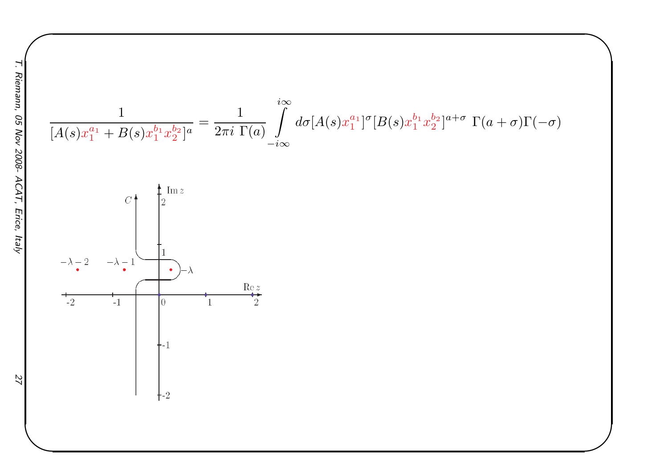$$
\frac{1}{[A(s)x_1^{a_1} + B(s)x_1^{b_1}x_2^{b_2}]^a} = \frac{1}{2\pi i \Gamma(a)} \int_{-i\infty}^{i\infty} d\sigma [A(s)x_1^{a_1}]^{\sigma} [B(s)x_1^{b_1}x_2^{b_2}]^{a+\sigma} \Gamma(a+\sigma)\Gamma(-\sigma)
$$
  

$$
C \begin{bmatrix} \frac{1}{2}^{\text{Im } z} \\ 2 \\ \frac{1}{2} \end{bmatrix}
$$
  

$$
-\lambda - 2 \qquad -\lambda - 1
$$
  

$$
C \begin{bmatrix} \frac{1}{2}^{\text{Im } z} \\ 1 \\ \frac{1}{2} \end{bmatrix}
$$
  

$$
C \begin{bmatrix} \frac{1}{2}^{\text{Im } z} \\ 1 \\ \frac{1}{2} \end{bmatrix}
$$
  

$$
C \begin{bmatrix} \frac{1}{2} \\ 1 \\ \frac{1}{2} \end{bmatrix}
$$

 $\begin{matrix} \hline \end{matrix}$ 

 $27$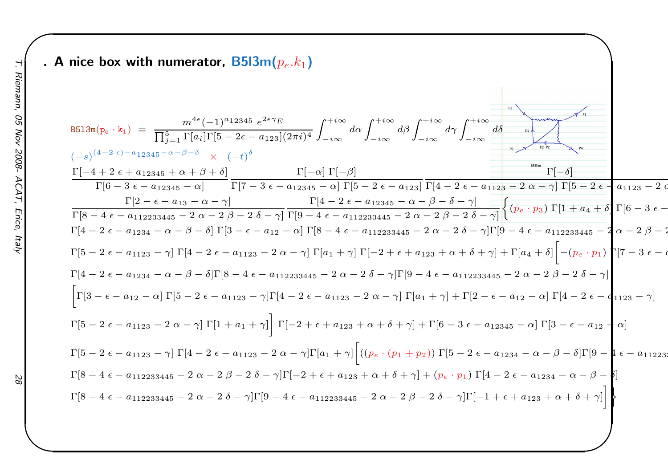### . A nice box with numerator,  $\mathsf{B5l3m}(p_e.k_1)$

$$
B513m(p_0 \cdot k_1) = \frac{m^{4\epsilon}(-1)^{a_1}2345 e^{2\epsilon \gamma_E}}{\prod_{j=1}^{5} \prod_{i=1}^{5} \prod_{i=1}^{5} \prod_{j=1}^{5} \prod_{j=1}^{5} \prod_{j=1}^{5} \sum_{j=1}^{5} \sum_{j=1}^{5} \sum_{j=1}^{5} \sum_{j=1}^{5} \sum_{j=1}^{5} \sum_{j=1}^{5} \sum_{j=1}^{5} \sum_{j=1}^{5} \sum_{j=1}^{5} \sum_{j=1}^{5} \sum_{j=1}^{5} \sum_{j=1}^{5} \sum_{j=1}^{5} \sum_{j=1}^{5} \sum_{j=1}^{5} \sum_{j=1}^{5} \sum_{j=1}^{5} \sum_{j=1}^{5} \sum_{j=1}^{5} \sum_{j=1}^{5} \sum_{j=1}^{5} \sum_{j=1}^{5} \sum_{j=1}^{5} \sum_{j=1}^{5} \sum_{j=1}^{5} \sum_{j=1}^{5} \sum_{j=1}^{5} \sum_{j=1}^{5} \sum_{j=1}^{5} \sum_{j=1}^{5} \sum_{j=1}^{5} \sum_{j=1}^{5} \sum_{j=1}^{5} \sum_{j=1}^{5} \sum_{j=1}^{5} \sum_{j=1}^{5} \sum_{j=1}^{5} \sum_{j=1}^{5} \sum_{j=1}^{5} \sum_{j=1}^{5} \sum_{j=1}^{5} \sum_{j=1}^{5} \sum_{j=1}^{5} \sum_{j=1}^{5} \sum_{j=1}^{5} \sum_{j=1}^{5} \sum_{j=1}^{5} \sum_{j=1}^{5} \sum_{j=1}^{5} \sum_{j=1}^{5} \sum_{j=1}^{5} \sum_{j=1}^{5} \sum_{j=1}^{5} \sum_{j=1}^{5} \sum_{j=1}^{5} \sum_{j=1}^{5} \sum_{j=1}^{5} \sum_{j=1}^{5} \sum_{j=1}^{5} \sum_{j=1}^{5} \sum_{j=1}^{5} \sum_{j=1}^{5} \sum_{j=1}^{5} \sum_{j=1}^{5} \sum_{j=1}^{5} \sum_{j
$$

 $\begin{matrix} \hline \end{matrix}$ 

 $88$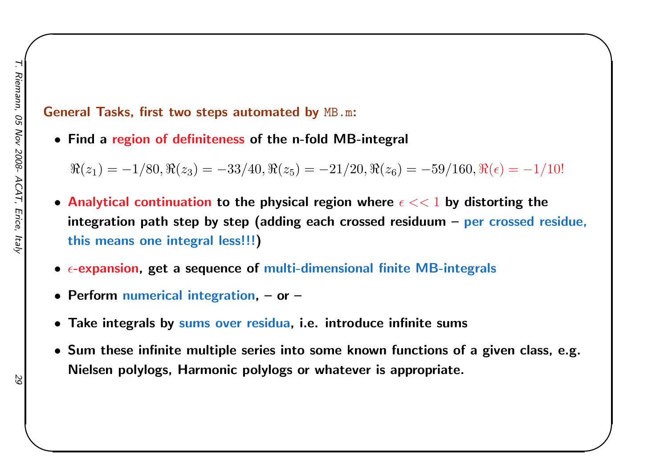### General Tasks, first two steps automated by  $\texttt{MB.m:}$

• Find <sup>a</sup> region of definiteness of the n-fold MB-integral

 $\Re(z_1) =$  $-1/80, \Re(z_3) = -33/40, \Re(z_5) = -21/20, \Re(z_6) = -59/160, \Re(\epsilon) =$ −1/10!  $\begin{matrix} \hline \end{matrix}$ 

- $\bullet$  Analytical continuation to the physical region where  $\epsilon << 1$  by distorting the integration path step by step (adding each crossed residuum – per crossed residue, this means one integral less!!!)
- $\bullet$   $\epsilon$ -expansion, get a sequence of multi-dimensional finite MB-integrals
- Perform numerical integration, or –
- Take integrals by sums over residua, i.e. introduce infinite sums
- Sum these infinite multiple series into some known functions of <sup>a</sup> <sup>g</sup>iven class, e.g. Nielsen polylogs, Harmonic polylogs or whatever is appropriate.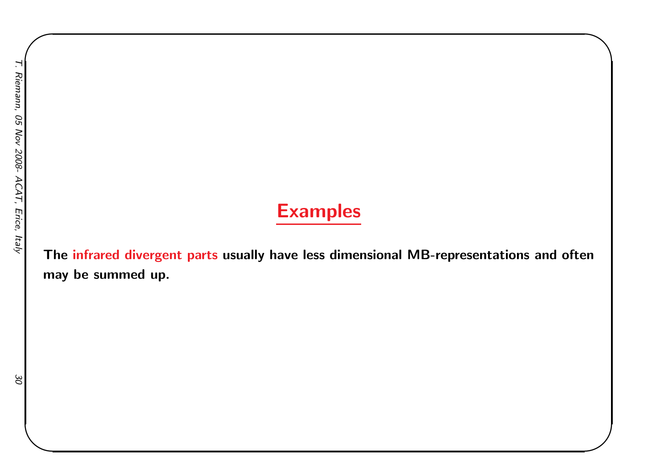# Examples

 $\begin{matrix} \hline \end{matrix}$ 

The <mark>infrared divergent parts</mark> usually have less dimensional MB-representations and often may be summed up.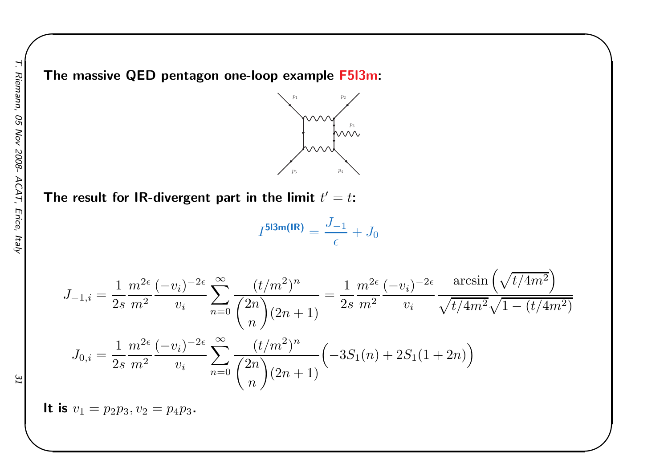

 $\begin{matrix} \hline \end{matrix}$ 

The result for IR-divergent part in the limit  $t^{\prime}=t$ :

$$
I^{\text{5l3m (IR)}} = \frac{J_{-1}}{\epsilon} + J_0
$$

$$
J_{-1,i} = \frac{1}{2s} \frac{m^{2\epsilon}}{m^2} \frac{(-v_i)^{-2\epsilon}}{v_i} \sum_{n=0}^{\infty} \frac{(t/m^2)^n}{\binom{2n}{n} (2n+1)} = \frac{1}{2s} \frac{m^{2\epsilon}}{m^2} \frac{(-v_i)^{-2\epsilon}}{v_i} \frac{\arcsin\left(\sqrt{t/4m^2}\right)}{\sqrt{t/4m^2}\sqrt{1-(t/4m^2)}}
$$

$$
J_{0,i} = \frac{1}{2s} \frac{m^{2\epsilon}}{m^2} \frac{(-v_i)^{-2\epsilon}}{v_i} \sum_{n=0}^{\infty} \frac{(t/m^2)^n}{\binom{2n}{n} (2n+1)} \left(-3S_1(n) + 2S_1(1+2n)\right)
$$

It is  $v_1 = p_2p_3, v_2 = p_4p_3$ .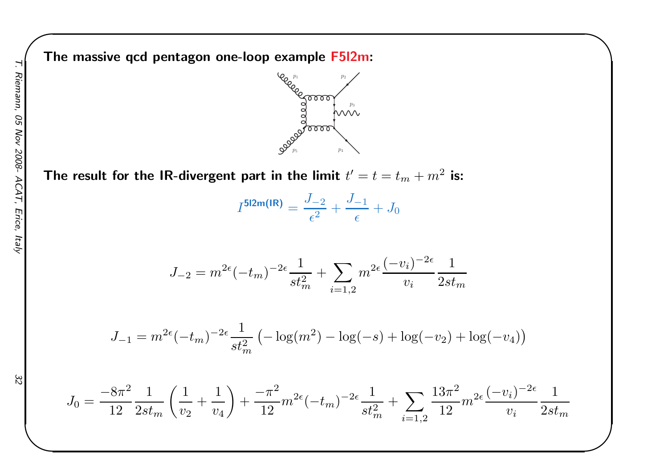The massive qcd pentagon one-loop example F5l2m:



 $\begin{matrix} \hline \end{matrix}$ 

The result for the IR-divergent part in the limit  $t'=t=t_m+m^2$  is:

$$
I^{\text{5l2m(IR)}} = \frac{J_{-2}}{\epsilon^2} + \frac{J_{-1}}{\epsilon} + J_0
$$

$$
J_{-2} = m^{2\epsilon}(-t_m)^{-2\epsilon} \frac{1}{st_m^2} + \sum_{i=1,2} m^{2\epsilon} \frac{(-v_i)^{-2\epsilon}}{v_i} \frac{1}{2st_m}
$$

$$
J_{-1} = m^{2\epsilon}(-t_m)^{-2\epsilon} \frac{1}{st_m^2} \left( -\log(m^2) - \log(-s) + \log(-v_2) + \log(-v_4) \right)
$$

$$
J_0 = \frac{-8\pi^2}{12} \frac{1}{2st_m} \left(\frac{1}{v_2} + \frac{1}{v_4}\right) + \frac{-\pi^2}{12} m^{2\epsilon} (-t_m)^{-2\epsilon} \frac{1}{st_m^2} + \sum_{i=1,2} \frac{13\pi^2}{12} m^{2\epsilon} \frac{(-v_i)^{-2\epsilon}}{v_i} \frac{1}{2st_m}
$$

32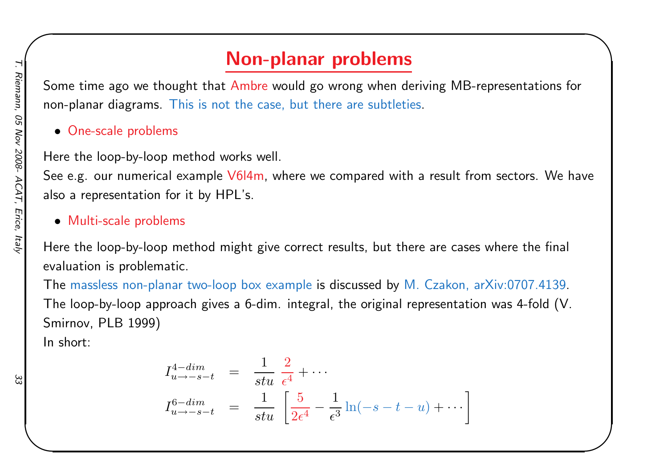# Non-planar problems

 $\begin{matrix} \hline \end{matrix}$ 

Some time ago we thought that Ambre would go wrong when deriving MB-representations for non-planar diagrams. This is not the case, but there are subtleties.

• One-scale problems

Here the loop-by-loop method works well.

See e.g. our numerical example <mark>V6I4m, where we compared with a result from sectors</mark>. We have also <sup>a</sup> representation for it by HPL's.

• Multi-scale problems

Here the loop-by-loop method might <sup>g</sup>ive correct results, but there are cases where the final evaluation is problematic.

The massless non-planar two-loop box example is discussed by M. Czakon, arXiv:0707.4139. The loop-by-loop approach <sup>g</sup>ives <sup>a</sup> 6-dim. integral, the original representation was 4-fold (V. Smirnov, PLB 1999)

In short:

$$
I_{u \to -s-t}^{4-dim} = \frac{1}{stu} \frac{2}{\epsilon^4} + \cdots
$$
  

$$
I_{u \to -s-t}^{6-dim} = \frac{1}{stu} \left[ \frac{5}{2\epsilon^4} - \frac{1}{\epsilon^3} \ln(-s - t - u) + \cdots \right]
$$

 $\bigg]$